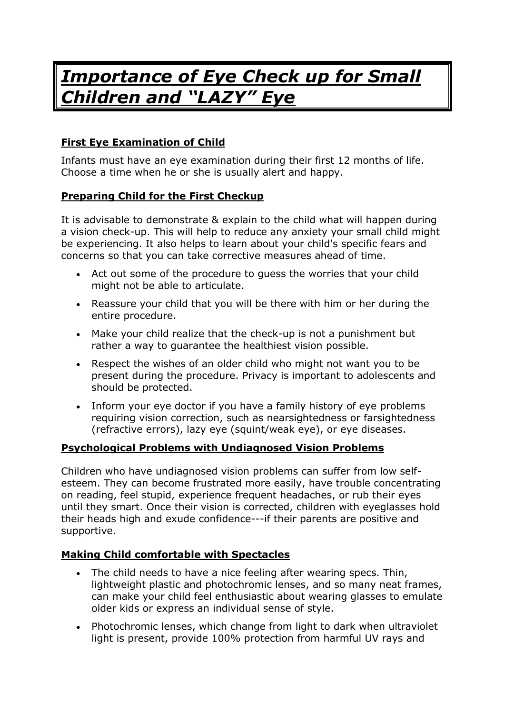# *Importance of Eye Check up for Small Children and "LAZY" Eye*

# **First Eye Examination of Child**

Infants must have an eye examination during their first 12 months of life. Choose a time when he or she is usually alert and happy.

## **Preparing Child for the First Checkup**

It is advisable to demonstrate & explain to the child what will happen during a vision check-up. This will help to reduce any anxiety your small child might be experiencing. It also helps to learn about your child's specific fears and concerns so that you can take corrective measures ahead of time.

- Act out some of the procedure to guess the worries that your child might not be able to articulate.
- Reassure your child that you will be there with him or her during the entire procedure.
- Make your child realize that the check-up is not a punishment but rather a way to guarantee the healthiest vision possible.
- Respect the wishes of an older child who might not want you to be present during the procedure. Privacy is important to adolescents and should be protected.
- Inform your eye doctor if you have a family history of eye problems requiring vision correction, such as nearsightedness or farsightedness (refractive errors), lazy eye (squint/weak eye), or eye diseases.

#### **Psychological Problems with Undiagnosed Vision Problems**

Children who have undiagnosed vision problems can suffer from low selfesteem. They can become frustrated more easily, have trouble concentrating on reading, feel stupid, experience frequent headaches, or rub their eyes until they smart. Once their vision is corrected, children with eyeglasses hold their heads high and exude confidence---if their parents are positive and supportive.

## **Making Child comfortable with Spectacles**

- The child needs to have a nice feeling after wearing specs. Thin, lightweight plastic and photochromic lenses, and so many neat frames, can make your child feel enthusiastic about wearing glasses to emulate older kids or express an individual sense of style.
- Photochromic lenses, which change from light to dark when ultraviolet light is present, provide 100% protection from harmful UV rays and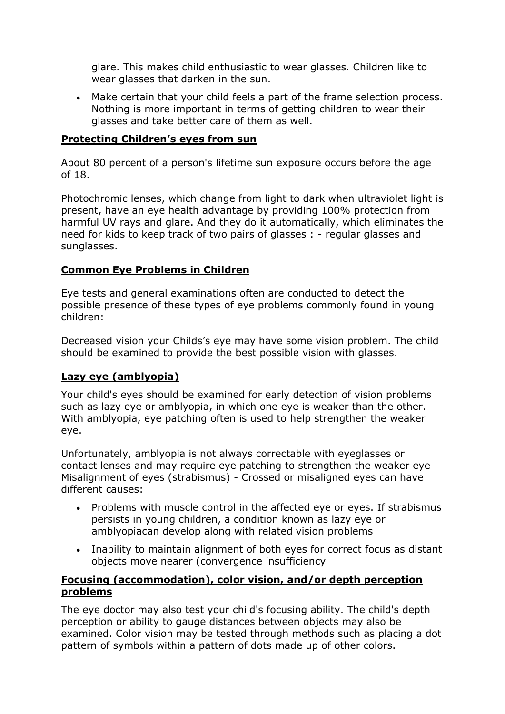glare. This makes child enthusiastic to wear glasses. Children like to wear glasses that darken in the sun.

• Make certain that your child feels a part of the frame selection process. Nothing is more important in terms of getting children to wear their glasses and take better care of them as well.

#### **Protecting Children's eyes from sun**

About 80 percent of a person's lifetime sun exposure occurs before the age of 18.

Photochromic lenses, which change from light to dark when ultraviolet light is present, have an eye health advantage by providing 100% protection from harmful UV rays and glare. And they do it automatically, which eliminates the need for kids to keep track of two pairs of glasses : - regular glasses and sunglasses.

#### **Common Eye Problems in Children**

Eye tests and general examinations often are conducted to detect the possible presence of these types of eye problems commonly found in young children:

Decreased vision your Childs's eye may have some vision problem. The child should be examined to provide the best possible vision with glasses.

#### **Lazy eye (amblyopia)**

Your child's eyes should be examined for early detection of vision problems such as lazy eye or amblyopia, in which one eye is weaker than the other. With amblyopia, eye patching often is used to help strengthen the weaker eye.

Unfortunately, amblyopia is not always correctable with eyeglasses or contact lenses and may require eye patching to strengthen the weaker eye Misalignment of eyes (strabismus) - Crossed or misaligned eyes can have different causes:

- Problems with muscle control in the affected eye or eyes. If strabismus persists in young children, a condition known as lazy eye or amblyopiacan develop along with related vision problems
- Inability to maintain alignment of both eyes for correct focus as distant objects move nearer (convergence insufficiency

#### **Focusing (accommodation), color vision, and/or depth perception problems**

The eye doctor may also test your child's focusing ability. The child's depth perception or ability to gauge distances between objects may also be examined. Color vision may be tested through methods such as placing a dot pattern of symbols within a pattern of dots made up of other colors.